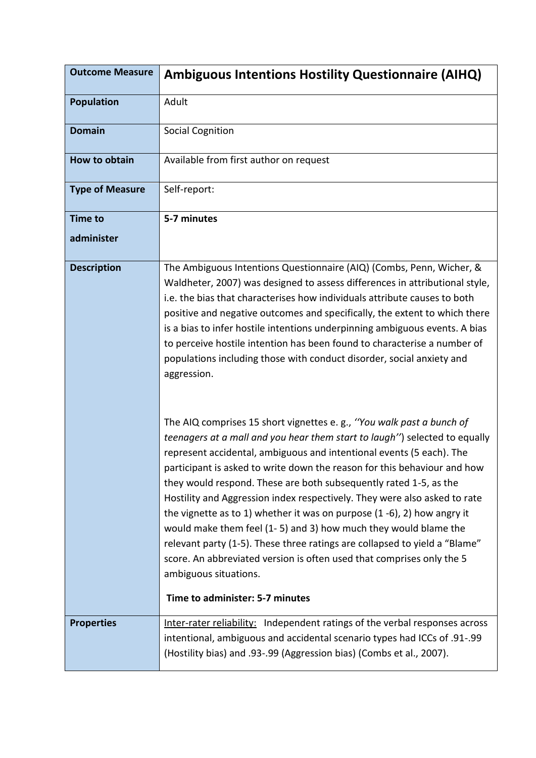| <b>Outcome Measure</b> | <b>Ambiguous Intentions Hostility Questionnaire (AIHQ)</b>                                                                                                                                                                                                                                                                                                                                                                                                                                                                                                                                                                                                                                                                                                                                                                    |
|------------------------|-------------------------------------------------------------------------------------------------------------------------------------------------------------------------------------------------------------------------------------------------------------------------------------------------------------------------------------------------------------------------------------------------------------------------------------------------------------------------------------------------------------------------------------------------------------------------------------------------------------------------------------------------------------------------------------------------------------------------------------------------------------------------------------------------------------------------------|
| <b>Population</b>      | Adult                                                                                                                                                                                                                                                                                                                                                                                                                                                                                                                                                                                                                                                                                                                                                                                                                         |
| <b>Domain</b>          | <b>Social Cognition</b>                                                                                                                                                                                                                                                                                                                                                                                                                                                                                                                                                                                                                                                                                                                                                                                                       |
| How to obtain          | Available from first author on request                                                                                                                                                                                                                                                                                                                                                                                                                                                                                                                                                                                                                                                                                                                                                                                        |
| <b>Type of Measure</b> | Self-report:                                                                                                                                                                                                                                                                                                                                                                                                                                                                                                                                                                                                                                                                                                                                                                                                                  |
| <b>Time to</b>         | 5-7 minutes                                                                                                                                                                                                                                                                                                                                                                                                                                                                                                                                                                                                                                                                                                                                                                                                                   |
| administer             |                                                                                                                                                                                                                                                                                                                                                                                                                                                                                                                                                                                                                                                                                                                                                                                                                               |
| <b>Description</b>     | The Ambiguous Intentions Questionnaire (AIQ) (Combs, Penn, Wicher, &<br>Waldheter, 2007) was designed to assess differences in attributional style,<br>i.e. the bias that characterises how individuals attribute causes to both<br>positive and negative outcomes and specifically, the extent to which there<br>is a bias to infer hostile intentions underpinning ambiguous events. A bias<br>to perceive hostile intention has been found to characterise a number of<br>populations including those with conduct disorder, social anxiety and<br>aggression.                                                                                                                                                                                                                                                             |
|                        | The AIQ comprises 15 short vignettes e.g., "You walk past a bunch of<br>teenagers at a mall and you hear them start to laugh") selected to equally<br>represent accidental, ambiguous and intentional events (5 each). The<br>participant is asked to write down the reason for this behaviour and how<br>they would respond. These are both subsequently rated 1-5, as the<br>Hostility and Aggression index respectively. They were also asked to rate<br>the vignette as to 1) whether it was on purpose $(1 - 6)$ , 2) how angry it<br>would make them feel (1-5) and 3) how much they would blame the<br>relevant party (1-5). These three ratings are collapsed to yield a "Blame"<br>score. An abbreviated version is often used that comprises only the 5<br>ambiguous situations.<br>Time to administer: 5-7 minutes |
| <b>Properties</b>      | Inter-rater reliability: Independent ratings of the verbal responses across                                                                                                                                                                                                                                                                                                                                                                                                                                                                                                                                                                                                                                                                                                                                                   |
|                        | intentional, ambiguous and accidental scenario types had ICCs of .91-.99<br>(Hostility bias) and .93-.99 (Aggression bias) (Combs et al., 2007).                                                                                                                                                                                                                                                                                                                                                                                                                                                                                                                                                                                                                                                                              |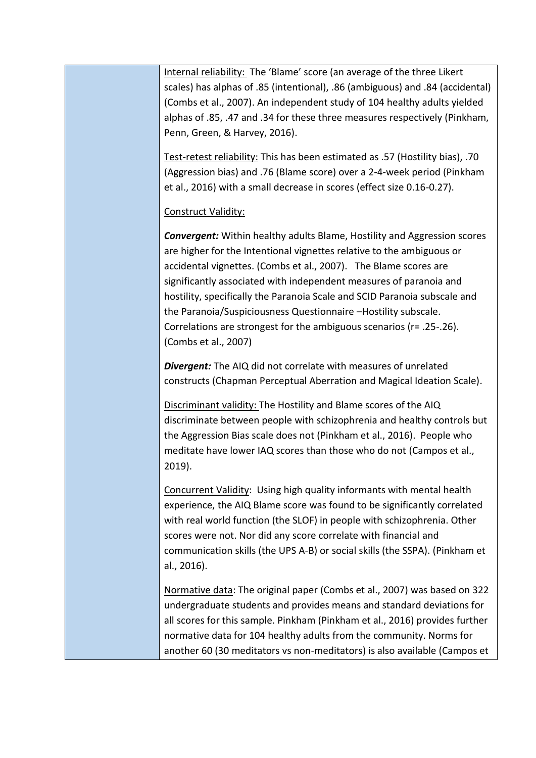| Internal reliability: The 'Blame' score (an average of the three Likert<br>scales) has alphas of .85 (intentional), .86 (ambiguous) and .84 (accidental)<br>(Combs et al., 2007). An independent study of 104 healthy adults yielded<br>alphas of .85, .47 and .34 for these three measures respectively (Pinkham,<br>Penn, Green, & Harvey, 2016).                                                                                                                                                                                                                           |
|-------------------------------------------------------------------------------------------------------------------------------------------------------------------------------------------------------------------------------------------------------------------------------------------------------------------------------------------------------------------------------------------------------------------------------------------------------------------------------------------------------------------------------------------------------------------------------|
| Test-retest reliability: This has been estimated as .57 (Hostility bias), .70<br>(Aggression bias) and .76 (Blame score) over a 2-4-week period (Pinkham<br>et al., 2016) with a small decrease in scores (effect size 0.16-0.27).                                                                                                                                                                                                                                                                                                                                            |
| Construct Validity:<br><b>Convergent:</b> Within healthy adults Blame, Hostility and Aggression scores<br>are higher for the Intentional vignettes relative to the ambiguous or<br>accidental vignettes. (Combs et al., 2007). The Blame scores are<br>significantly associated with independent measures of paranoia and<br>hostility, specifically the Paranoia Scale and SCID Paranoia subscale and<br>the Paranoia/Suspiciousness Questionnaire -Hostility subscale.<br>Correlations are strongest for the ambiguous scenarios ( $r = .25-.26$ ).<br>(Combs et al., 2007) |
| <b>Divergent:</b> The AIQ did not correlate with measures of unrelated<br>constructs (Chapman Perceptual Aberration and Magical Ideation Scale).                                                                                                                                                                                                                                                                                                                                                                                                                              |
| Discriminant validity: The Hostility and Blame scores of the AIQ<br>discriminate between people with schizophrenia and healthy controls but<br>the Aggression Bias scale does not (Pinkham et al., 2016). People who<br>meditate have lower IAQ scores than those who do not (Campos et al.,<br>2019).                                                                                                                                                                                                                                                                        |
| Concurrent Validity: Using high quality informants with mental health<br>experience, the AIQ Blame score was found to be significantly correlated<br>with real world function (the SLOF) in people with schizophrenia. Other<br>scores were not. Nor did any score correlate with financial and<br>communication skills (the UPS A-B) or social skills (the SSPA). (Pinkham et<br>al., 2016).                                                                                                                                                                                 |
| Normative data: The original paper (Combs et al., 2007) was based on 322<br>undergraduate students and provides means and standard deviations for<br>all scores for this sample. Pinkham (Pinkham et al., 2016) provides further<br>normative data for 104 healthy adults from the community. Norms for<br>another 60 (30 meditators vs non-meditators) is also available (Campos et                                                                                                                                                                                          |